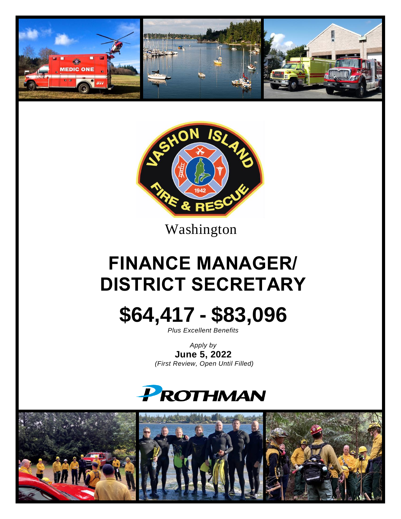



Washington

# **FINANCE MANAGER/ DISTRICT SECRETARY**



*Plus Excellent Benefits*

*Apply by* **June 5, 2022** *(First Review, Open Until Filled)*



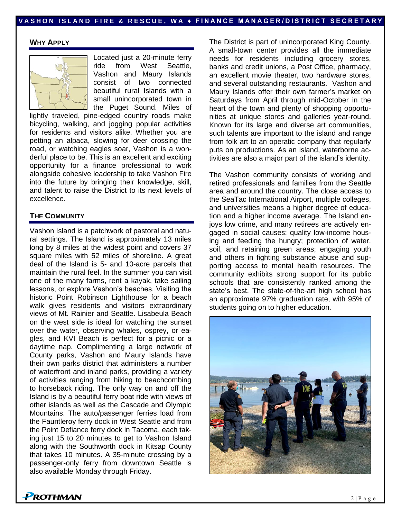#### **WHY APPLY**



Located just a 20-minute ferry ride from West Seattle, Vashon and Maury Islands consist of two connected beautiful rural Islands with a small unincorporated town in the Puget Sound. Miles of

lightly traveled, pine-edged country roads make bicycling, walking, and jogging popular activities for residents and visitors alike. Whether you are petting an alpaca, slowing for deer crossing the road, or watching eagles soar, Vashon is a wonderful place to be. This is an excellent and exciting opportunity for a finance professional to work alongside cohesive leadership to take Vashon Fire into the future by bringing their knowledge, skill, and talent to raise the District to its next levels of excellence.

#### **THE COMMUNITY**

Vashon Island is a patchwork of pastoral and natural settings. The Island is approximately 13 miles long by 8 miles at the widest point and covers 37 square miles with 52 miles of shoreline. A great deal of the Island is 5- and 10-acre parcels that maintain the rural feel. In the summer you can visit one of the many farms, rent a kayak, take sailing lessons, or explore Vashon's beaches. Visiting the historic Point Robinson Lighthouse for a beach walk gives residents and visitors extraordinary views of Mt. Rainier and Seattle. Lisabeula Beach on the west side is ideal for watching the sunset over the water, observing whales, osprey, or eagles, and KVI Beach is perfect for a picnic or a daytime nap. Complimenting a large network of County parks, Vashon and Maury Islands have their own parks district that administers a number of waterfront and inland parks, providing a variety of activities ranging from hiking to beachcombing to horseback riding. The only way on and off the Island is by a beautiful ferry boat ride with views of other islands as well as the Cascade and Olympic Mountains. The auto/passenger ferries load from the Fauntleroy ferry dock in West Seattle and from the Point Defiance ferry dock in Tacoma, each taking just 15 to 20 minutes to get to Vashon Island along with the Southworth dock in Kitsap County that takes 10 minutes. A 35-minute crossing by a passenger-only ferry from downtown Seattle is also available Monday through Friday.

The District is part of unincorporated King County. A small-town center provides all the immediate needs for residents including grocery stores, banks and credit unions, a Post Office, pharmacy, an excellent movie theater, two hardware stores, and several outstanding restaurants. Vashon and Maury Islands offer their own farmer's market on Saturdays from April through mid-October in the heart of the town and plenty of shopping opportunities at unique stores and galleries year-round. Known for its large and diverse art communities, such talents are important to the island and range from folk art to an operatic company that regularly puts on productions. As an island, waterborne activities are also a major part of the island's identity.

The Vashon community consists of working and retired professionals and families from the Seattle area and around the country. The close access to the SeaTac International Airport, multiple colleges, and universities means a higher degree of education and a higher income average. The Island enjoys low crime, and many retirees are actively engaged in social causes: quality low-income housing and feeding the hungry; protection of water, soil, and retaining green areas; engaging youth and others in fighting substance abuse and supporting access to mental health resources. The community exhibits strong support for its public schools that are consistently ranked among the state's best. The state-of-the-art high school has an approximate 97% graduation rate, with 95% of students going on to higher education.



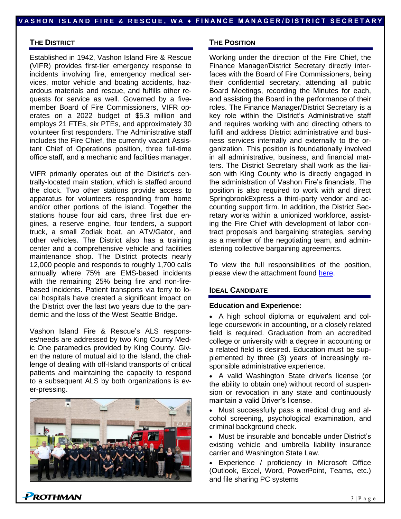#### **THE DISTRICT**

Established in 1942, Vashon Island Fire & Rescue (VIFR) provides first-tier emergency response to incidents involving fire, emergency medical services, motor vehicle and boating accidents, hazardous materials and rescue, and fulfills other requests for service as well. Governed by a fivemember Board of Fire Commissioners, VIFR operates on a 2022 budget of \$5.3 million and employs 21 FTEs, six PTEs, and approximately 30 volunteer first responders. The Administrative staff includes the Fire Chief, the currently vacant Assistant Chief of Operations position, three full-time office staff, and a mechanic and facilities manager.

VIFR primarily operates out of the District's centrally-located main station, which is staffed around the clock. Two other stations provide access to apparatus for volunteers responding from home and/or other portions of the island. Together the stations house four aid cars, three first due engines, a reserve engine, four tenders, a support truck, a small Zodiak boat, an ATV/Gator, and other vehicles. The District also has a training center and a comprehensive vehicle and facilities maintenance shop. The District protects nearly 12,000 people and responds to roughly 1,700 calls annually where 75% are EMS-based incidents with the remaining 25% being fire and non-firebased incidents. Patient transports via ferry to local hospitals have created a significant impact on the District over the last two years due to the pandemic and the loss of the West Seattle Bridge.

Vashon Island Fire & Rescue's ALS responses/needs are addressed by two King County Medic One paramedics provided by King County. Given the nature of mutual aid to the Island, the challenge of dealing with off-Island transports of critical patients and maintaining the capacity to respond to a subsequent ALS by both organizations is ever-pressing.



#### **THE POSITION**

Working under the direction of the Fire Chief, the Finance Manager/District Secretary directly interfaces with the Board of Fire Commissioners, being their confidential secretary, attending all public Board Meetings, recording the Minutes for each, and assisting the Board in the performance of their roles. The Finance Manager/District Secretary is a key role within the District's Administrative staff and requires working with and directing others to fulfill and address District administrative and business services internally and externally to the organization. This position is foundationally involved in all administrative, business, and financial matters. The District Secretary shall work as the liaison with King County who is directly engaged in the administration of Vashon Fire's financials. The position is also required to work with and direct SpringbrookExpress a third-party vendor and accounting support firm. In addition, the District Secretary works within a unionized workforce, assisting the Fire Chief with development of labor contract proposals and bargaining strategies, serving as a member of the negotiating team, and administering collective bargaining agreements.

To view the full responsibilities of the position, please view the attachment found [here.](https://www.prothman.com/JobFiles/2975/District%20Secretary%20Finance%20Manager%20Job%20Description.pdf)

#### **IDEAL CANDIDATE**

#### **Education and Experience:**

• A high school diploma or equivalent and college coursework in accounting, or a closely related field is required. Graduation from an accredited college or university with a degree in accounting or a related field is desired. Education must be supplemented by three (3) years of increasingly responsible administrative experience.

• A valid Washington State driver's license (or the ability to obtain one) without record of suspension or revocation in any state and continuously maintain a valid Driver's license.

• Must successfully pass a medical drug and alcohol screening, psychological examination, and criminal background check.

• Must be insurable and bondable under District's existing vehicle and umbrella liability insurance carrier and Washington State Law.

• Experience / proficiency in Microsoft Office (Outlook, Excel, Word, PowerPoint, Teams, etc.) and file sharing PC systems